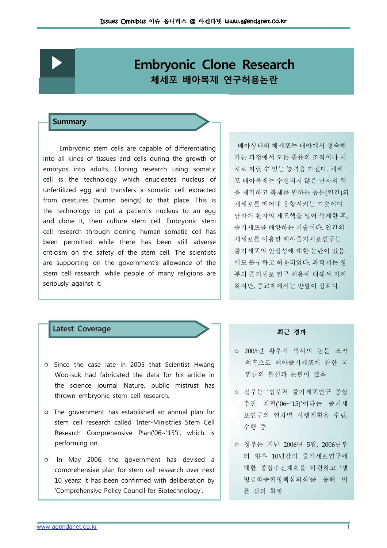## **Embryonic Clone Research** 체세포 배아복제 연구허용논란

### **Summary**

Embryonic stem cells are capable of differentiating into all kinds of tissues and cells during the growth of embryos into adults. Cloning research using somatic cell is the technology which enucleates nucleus of unfertilized egg and transfers a somatic cell extracted from creatures (human beings) to that place. This is the technology to put a patient's nucleus to an egg and clone it, then culture stem cell. Embryonic stem cell research through cloning human somatic cell has been permitted while there has been still adverse criticism on the safety of the stem cell. The scientists are supporting on the government's allowance of the stem cell research, while people of many religions are seriously against it.

배아상태의 체세포는 배아에서 성숙해 가는 과정에서 모든 종류의 조직이나 세 포로 자랄 수 있는 능력을 가진다. 체세 포 배아복제는 수정되지 않은 난자의 핵 을 제거하고 복제를 워하는 동물(인간)의 체세포를 떼어내 융합시키는 기술이다. 난자에 환자의 세포핵을 넣어 복제한 후, 줄기세포를 배양하는 기술이다 인간의 . 체세포를 이용한 배아줄기세포연구는 줄기세포의 안정성에 대한 논란이 있음 에도 불구하고 허용되었다. 과학계는 정 부의 줄기세포 연구 허용에 대해서 지지 하지만, 종교계에서는 반발이 심하다.

## Latest Coverage 2012 - 대한민국의 대표 최근 경과

- ㅇ Since the case late in 2005 that Scientist Hwang Woo-suk had fabricated the data for his article in the science journal Nature, public mistrust has thrown embryonic stem cell research.
- o The government has established an annual plan for stem cell research called 'Inter-Ministries Stem Cell Research Comprehensive Plan('06~'15')', which is performing on.
- ㅇ In May 2006, the government has devised a comprehensive plan for stem cell research over next 10 years; it has been confirmed with deliberation by 'Comprehensive Policy Council for Biotechnology'.

- ㅇ 2005년 황우석 박사의 논문 조작 의혹으로 배아줄기세포에 관한 국 민들의 불신과 논란이 컸음
- ㅇ 정부는 범부처 줄기세포연구 종합 ' 추진 계획('06~'15)'이라는 줄기세 포연구의 연차별 시행계획을 수립, 수행 중
- 0 정부는 지난 2006년 5월, 2006년부 터 향후 10년간의 줄기세포연구에 대한 종합추진계획을 마련하고 생' 명공학종합정책심의회'를 통해 이 를 심의 확정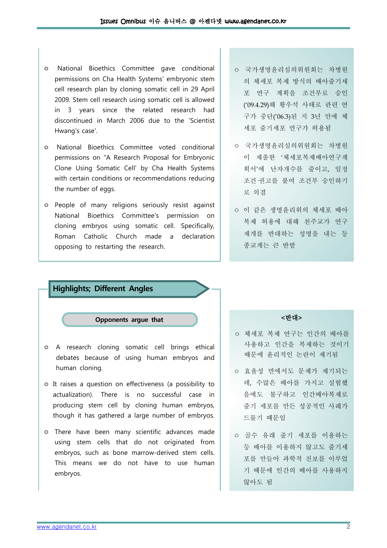- ㅇ National Bioethics Committee gave conditional permissions on Cha Health Systems' embryonic stem cell research plan by cloning somatic cell in 29 April 2009. Stem cell research using somatic cell is allowed in 3 years since the related research had discontinued in March 2006 due to the 'Scientist Hwang's case'.
- ㅇ National Bioethics Committee voted conditional permissions on "A Research Proposal for Embryonic Clone Using Somatic Cell' by Cha Health Systems with certain conditions or recommendations reducing the number of eggs.
- ㅇ People of many religions seriously resist against National Bioethics Committee's permission on cloning embryos using somatic cell. Specifically, Roman Catholic Church made a declaration opposing to restarting the research.
- ㅇ 국가생명윤리심의위원회는 차병원 의 체세포 복제 방식의 배아줄기세 포 연구 계획을 조건부로 승인 ('09.4.29)해 황우석 사태로 관련 연 구가 중단('06.3) 된 지 3년 만에 체 세포 줄기세포 연구가 허용됨
- ㅇ 국가생명윤리심의위원회는 차병원 이 제출한 '체세포복제배아연구계 획서'에 난자개수를 줄이고, 일정 조건 권고를 붙여 조건부 승인하기 로 의결
- ㅇ 이 같은 생명윤리위의 체세포 배아 복제 허용에 대해 천주교가 연구 재개를 반대하는 성명을 내는 등 종교계는 큰 반발

# Highlights; Different Angles Opponents argue that a a set of the set of the set of the set of the set of the set of the set of the set of the ㅇ A research cloning somatic cell brings ethical debates because of using human embryos and human cloning. ㅇ It raises a question on effectiveness (a possibility to

- actualization). There is no successful case in producing stem cell by cloning human embryos, though it has gathered a large number of embryos.
- ㅇ There have been many scientific advances made using stem cells that do not originated from embryos, such as bone marrow-derived stem cells. This means we do not have to use human embryos.

- ㅇ 체세포 복제 연구는 인간의 배아를 사용하고 인간을 복제하는 것이기 때문에 윤리적인 논란이 제기됨
- ㅇ 효율성 면에서도 문제가 제기되는 데, 수많은 배아를 가지고 실험했 음에도 불구하고 인간배아복제로 줄기 세포를 만든 성공적인 사례가 드물기 때문임
- ㅇ 골수 유래 줄기 세포를 이용하는 등 배아를 이용하지 않고도 줄기세 포를 만들어 과학적 진보를 이루었 기 때문에 인간의 배아를 사용하지 않아도 됨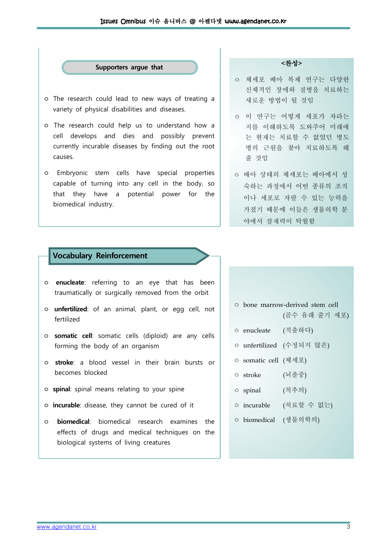## Supporters argue that a hand a c찬성>

- ㅇ The research could lead to new ways of treating a variety of physical disabilities and diseases.
- ㅇ The research could help us to understand how a cell develops and dies and possibly prevent currently incurable diseases by finding out the root causes.
- ㅇ Embryonic stem cells have special properties capable of turning into any cell in the body, so that they have a potential power for the biomedical industry.

- ㅇ 체세포 배아 복제 연구는 다양한 신체적인 장애와 질병을 치료하는 새로운 방법이 될 것임
- ㅇ 이 연구는 어떻게 세포가 자라는 지를 이해하도록 도와주어 미래에 는 현재는 치료할 수 없었던 병도 병의 근원을 찾아 치료하도록 해 줄 것임
- ㅇ 배아 상태의 체세포는 배아에서 성 숙하는 과정에서 어떤 종류의 조직 이나 세포로 자랄 수 있는 능력을 가졌기 때문에 이들은 생물의학 분 야에서 잠재력이 탁월함

## Vocabulary Reinforcement

- ㅇ enucleate: referring to an eye that has been traumatically or surgically removed from the orbit
- o **unfertilized**: of an animal, plant, or egg cell, not fertilized
- o somatic cell: somatic cells (diploid) are any cells forming the body of an organism
- ㅇ stroke: a blood vessel in their brain bursts or becomes blocked
- ㅇ spinal: spinal means relating to your spine
- ㅇ incurable: disease, they cannot be cured of it
- ㅇ biomedical: biomedical research examines the effects of drugs and medical techniques on the biological systems of living creatures
- ㅇ bone marrow-derived stem cell (골수 유래 줄기 세포)
- ㅇ enucleate (적출하다)
- ㅇ unfertilized (수정되지 않은)
- ㅇ somatic cell (체세포)
- ㅇ stroke (뇌졸중)
- ㅇ spinal (척추의)
- ㅇ incurable (치료할 수 없는)
- ㅇ biomedical (생물의학의)